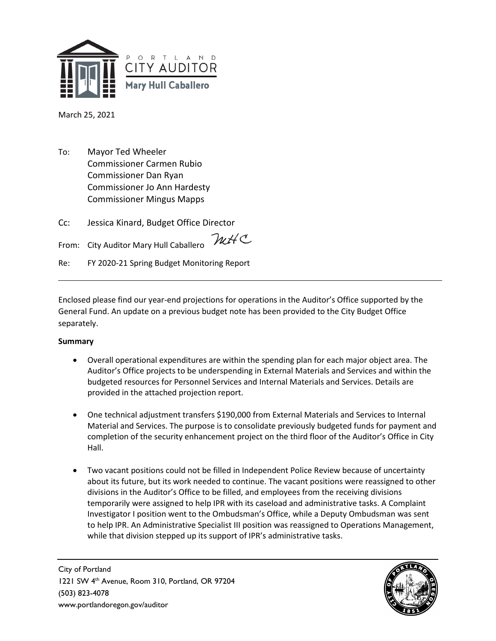

March 25, 2021

To: Mayor Ted Wheeler Commissioner Carmen Rubio Commissioner Dan Ryan Commissioner Jo Ann Hardesty Commissioner Mingus Mapps

Cc: Jessica Kinard, Budget Office Director

mHC From: City Auditor Mary Hull Caballero

Re: FY 2020-21 Spring Budget Monitoring Report

Enclosed please find our year-end projections for operations in the Auditor's Office supported by the General Fund. An update on a previous budget note has been provided to the City Budget Office separately.

## **Summary**

- Overall operational expenditures are within the spending plan for each major object area. The Auditor's Office projects to be underspending in External Materials and Services and within the budgeted resources for Personnel Services and Internal Materials and Services. Details are provided in the attached projection report.
- One technical adjustment transfers \$190,000 from External Materials and Services to Internal Material and Services. The purpose is to consolidate previously budgeted funds for payment and completion of the security enhancement project on the third floor of the Auditor's Office in City Hall.
- Two vacant positions could not be filled in Independent Police Review because of uncertainty about its future, but its work needed to continue. The vacant positions were reassigned to other divisions in the Auditor's Office to be filled, and employees from the receiving divisions temporarily were assigned to help IPR with its caseload and administrative tasks. A Complaint Investigator I position went to the Ombudsman's Office, while a Deputy Ombudsman was sent to help IPR. An Administrative Specialist III position was reassigned to Operations Management, while that division stepped up its support of IPR's administrative tasks.

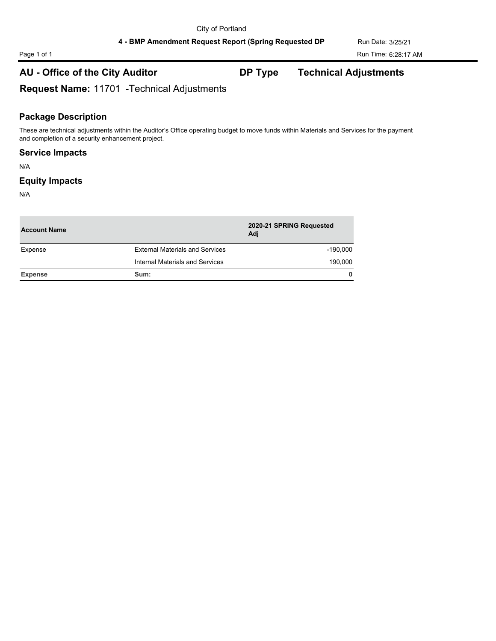# **AU - Office of the City Auditor DP Type Technical Adjustments**

**Request Name:** 11701 -Technical Adjustments

### **Package Description**

These are technical adjustments within the Auditor's Office operating budget to move funds within Materials and Services for the payment and completion of a security enhancement project.

### **Service Impacts**

N/A

### **Equity Impacts**

N/A

| <b>Account Name</b>                    |              |
|----------------------------------------|--------------|
| <b>External Materials and Services</b> | -190.000     |
| Internal Materials and Services        | 190,000      |
| Sum:                                   | $\mathbf{0}$ |
|                                        |              |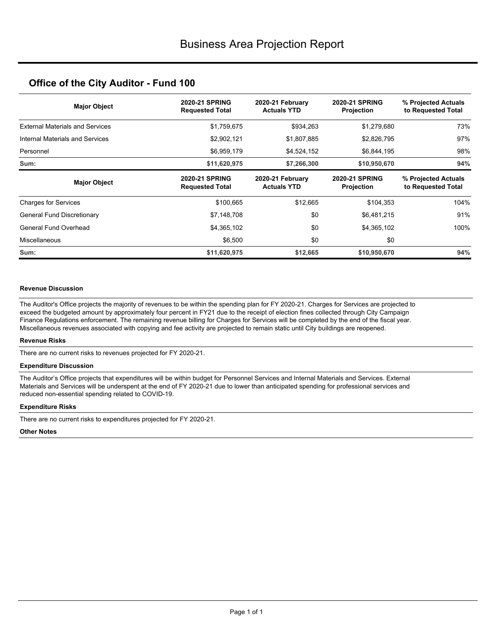# **Office of the City Auditor - Fund 100**

| <b>Major Object</b>                    | <b>2020-21 SPRING</b><br><b>Requested Total</b> | 2020-21 February<br><b>Actuals YTD</b> | <b>2020-21 SPRING</b><br><b>Projection</b> | % Projected Actuals<br>to Requested Total |
|----------------------------------------|-------------------------------------------------|----------------------------------------|--------------------------------------------|-------------------------------------------|
| <b>External Materials and Services</b> | \$1,759,675                                     | \$934,263                              | \$1,279,680                                | 73%                                       |
| Internal Materials and Services        | \$2,902,121                                     | \$1,807,885                            | \$2,826,795                                | 97%                                       |
| Personnel                              | \$6,959,179                                     | \$4,524,152                            | \$6,844,195                                | 98%                                       |
| Sum:                                   | \$11,620,975                                    | \$7,266,300                            | \$10,950,670                               | 94%                                       |
| <b>Major Object</b>                    | <b>2020-21 SPRING</b><br><b>Requested Total</b> | 2020-21 February<br><b>Actuals YTD</b> | <b>2020-21 SPRING</b><br><b>Projection</b> | % Projected Actuals<br>to Requested Total |
| <b>Charges for Services</b>            | \$100,665                                       | \$12,665                               | \$104,353                                  | 104%                                      |
| General Fund Discretionary             | \$7,148,708                                     | \$0                                    | \$6,481,215                                | 91%                                       |
| General Fund Overhead                  | \$4,365,102                                     | \$0                                    | \$4,365,102                                | 100%                                      |
| Miscellaneous                          | \$6,500                                         | \$0                                    | \$0                                        |                                           |
| Sum:                                   | \$11,620,975                                    | \$12,665                               | \$10,950,670                               | 94%                                       |

#### **Revenue Discussion**

The Auditor's Office projects the majority of revenues to be within the spending plan for FY 2020-21. Charges for Services are projected to exceed the budgeted amount by approximately four percent in FY21 due to the receipt of election fines collected through City Campaign Finance Regulations enforcement. The remaining revenue billing for Charges for Services will be completed by the end of the fiscal year. Miscellaneous revenues associated with copying and fee activity are projected to remain static until City buildings are reopened.

#### **Revenue Risks**

There are no current risks to revenues projected for FY 2020-21.

#### **Expenditure Discussion**

The Auditor's Office projects that expenditures will be within budget for Personnel Services and Internal Materials and Services. External Materials and Services will be underspent at the end of FY 2020-21 due to lower than anticipated spending for professional services and reduced non-essential spending related to COVID-19.

#### **Expenditure Risks**

There are no current risks to expenditures projected for FY 2020-21.

#### **Other Notes**